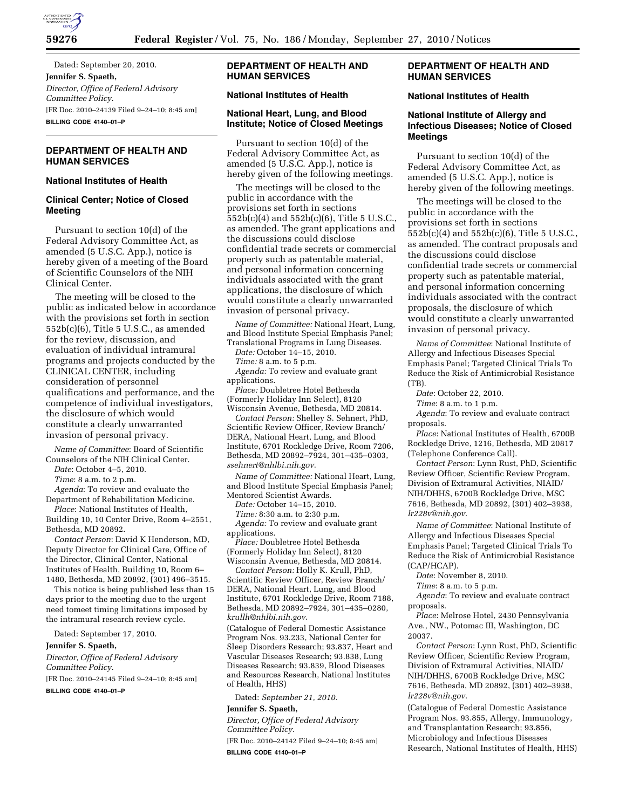

Dated: September 20, 2010. **Jennifer S. Spaeth,**  *Director, Office of Federal Advisory Committee Policy.*  [FR Doc. 2010–24139 Filed 9–24–10; 8:45 am] **BILLING CODE 4140–01–P** 

# **DEPARTMENT OF HEALTH AND HUMAN SERVICES**

## **National Institutes of Health**

### **Clinical Center; Notice of Closed Meeting**

Pursuant to section 10(d) of the Federal Advisory Committee Act, as amended (5 U.S.C. App.), notice is hereby given of a meeting of the Board of Scientific Counselors of the NIH Clinical Center.

The meeting will be closed to the public as indicated below in accordance with the provisions set forth in section 552b(c)(6), Title 5 U.S.C., as amended for the review, discussion, and evaluation of individual intramural programs and projects conducted by the CLINICAL CENTER, including consideration of personnel qualifications and performance, and the competence of individual investigators, the disclosure of which would constitute a clearly unwarranted invasion of personal privacy.

*Name of Committee*: Board of Scientific Counselors of the NIH Clinical Center.

*Date*: October 4–5, 2010.

*Time*: 8 a.m. to 2 p.m.

*Agenda*: To review and evaluate the Department of Rehabilitation Medicine.

*Place*: National Institutes of Health, Building 10, 10 Center Drive, Room 4–2551, Bethesda, MD 20892.

*Contact Person*: David K Henderson, MD, Deputy Director for Clinical Care, Office of the Director, Clinical Center, National Institutes of Health, Building 10, Room 6– 1480, Bethesda, MD 20892, (301) 496–3515.

This notice is being published less than 15 days prior to the meeting due to the urgent need tomeet timing limitations imposed by the intramural research review cycle.

Dated: September 17, 2010.

#### **Jennifer S. Spaeth,**

*Director, Office of Federal Advisory Committee Policy.* 

[FR Doc. 2010–24145 Filed 9–24–10; 8:45 am]

**BILLING CODE 4140–01–P** 

## **DEPARTMENT OF HEALTH AND HUMAN SERVICES**

# **National Institutes of Health**

## **National Heart, Lung, and Blood Institute; Notice of Closed Meetings**

Pursuant to section 10(d) of the Federal Advisory Committee Act, as amended (5 U.S.C. App.), notice is hereby given of the following meetings.

The meetings will be closed to the public in accordance with the provisions set forth in sections  $552b(c)(4)$  and  $552b(c)(6)$ , Title 5 U.S.C., as amended. The grant applications and the discussions could disclose confidential trade secrets or commercial property such as patentable material, and personal information concerning individuals associated with the grant applications, the disclosure of which would constitute a clearly unwarranted invasion of personal privacy.

*Name of Committee:* National Heart, Lung, and Blood Institute Special Emphasis Panel; Translational Programs in Lung Diseases.

*Date:* October 14–15, 2010.

*Time:* 8 a.m. to 5 p.m.

*Agenda:* To review and evaluate grant applications.

*Place:* Doubletree Hotel Bethesda (Formerly Holiday Inn Select), 8120 Wisconsin Avenue, Bethesda, MD 20814.

*Contact Person:* Shelley S. Sehnert, PhD, Scientific Review Officer, Review Branch/ DERA, National Heart, Lung, and Blood Institute, 6701 Rockledge Drive, Room 7206, Bethesda, MD 20892–7924, 301–435–0303, *[ssehnert@nhlbi.nih.gov](mailto:ssehnert@nhlbi.nih.gov)*.

*Name of Committee:* National Heart, Lung, and Blood Institute Special Emphasis Panel; Mentored Scientist Awards.

*Date:* October 14–15, 2010.

*Time:* 8:30 a.m. to 2:30 p.m.

*Agenda:* To review and evaluate grant applications.

*Place:* Doubletree Hotel Bethesda (Formerly Holiday Inn Select), 8120 Wisconsin Avenue, Bethesda, MD 20814.

*Contact Person:* Holly K. Krull, PhD, Scientific Review Officer, Review Branch/ DERA, National Heart, Lung, and Blood Institute, 6701 Rockledge Drive, Room 7188, Bethesda, MD 20892–7924, 301–435–0280, *[krullh@nhlbi.nih.gov](mailto:krullh@nhlbi.nih.gov)*.

(Catalogue of Federal Domestic Assistance Program Nos. 93.233, National Center for Sleep Disorders Research; 93.837, Heart and Vascular Diseases Research; 93.838, Lung Diseases Research; 93.839, Blood Diseases and Resources Research, National Institutes of Health, HHS)

Dated: *September 21, 2010.* 

#### **Jennifer S. Spaeth,**

*Director, Office of Federal Advisory Committee Policy.* 

[FR Doc. 2010–24142 Filed 9–24–10; 8:45 am] **BILLING CODE 4140–01–P** 

## **DEPARTMENT OF HEALTH AND HUMAN SERVICES**

#### **National Institutes of Health**

## **National Institute of Allergy and Infectious Diseases; Notice of Closed Meetings**

Pursuant to section 10(d) of the Federal Advisory Committee Act, as amended (5 U.S.C. App.), notice is hereby given of the following meetings.

The meetings will be closed to the public in accordance with the provisions set forth in sections 552b(c)(4) and 552b(c)(6), Title 5 U.S.C., as amended. The contract proposals and the discussions could disclose confidential trade secrets or commercial property such as patentable material, and personal information concerning individuals associated with the contract proposals, the disclosure of which would constitute a clearly unwarranted invasion of personal privacy.

*Name of Committee*: National Institute of Allergy and Infectious Diseases Special Emphasis Panel; Targeted Clinical Trials To Reduce the Risk of Antimicrobial Resistance (TB).

*Date*: October 22, 2010.

*Time*: 8 a.m. to 1 p.m.

*Agenda*: To review and evaluate contract proposals.

*Place*: National Institutes of Health, 6700B Rockledge Drive, 1216, Bethesda, MD 20817 (Telephone Conference Call).

*Contact Person*: Lynn Rust, PhD, Scientific Review Officer, Scientific Review Program, Division of Extramural Activities, NIAID/ NIH/DHHS, 6700B Rockledge Drive, MSC 7616, Bethesda, MD 20892, (301) 402–3938, *[lr228v@nih.gov](mailto:lr228v@nih.gov)*.

*Name of Committee*: National Institute of Allergy and Infectious Diseases Special Emphasis Panel; Targeted Clinical Trials To Reduce the Risk of Antimicrobial Resistance (CAP/HCAP).

*Date*: November 8, 2010.

*Time*: 8 a.m. to 5 p.m.

*Agenda*: To review and evaluate contract proposals.

*Place*: Melrose Hotel, 2430 Pennsylvania Ave., NW., Potomac III, Washington, DC 20037.

*Contact Person*: Lynn Rust, PhD, Scientific Review Officer, Scientific Review Program, Division of Extramural Activities, NIAID/ NIH/DHHS, 6700B Rockledge Drive, MSC 7616, Bethesda, MD 20892, (301) 402–3938, *[lr228v@nih.gov](mailto:lr228v@nih.gov)*.

(Catalogue of Federal Domestic Assistance Program Nos. 93.855, Allergy, Immunology, and Transplantation Research; 93.856, Microbiology and Infectious Diseases Research, National Institutes of Health, HHS)